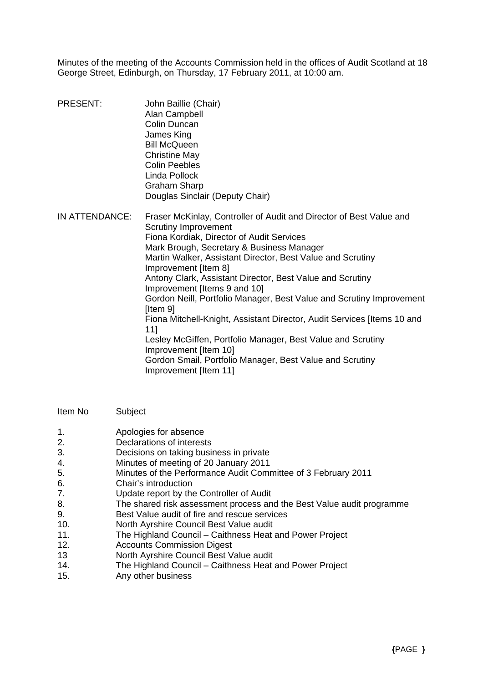Minutes of the meeting of the Accounts Commission held in the offices of Audit Scotland at 18 George Street, Edinburgh, on Thursday, 17 February 2011, at 10:00 am.

- PRESENT: John Baillie (Chair) Alan Campbell Colin Duncan James King Bill McQueen Christine May Colin Peebles Linda Pollock Graham Sharp Douglas Sinclair (Deputy Chair)
- IN ATTENDANCE: Fraser McKinlay, Controller of Audit and Director of Best Value and Scrutiny Improvement Fiona Kordiak, Director of Audit Services Mark Brough, Secretary & Business Manager Martin Walker, Assistant Director, Best Value and Scrutiny Improvement [Item 8] Antony Clark, Assistant Director, Best Value and Scrutiny Improvement [Items 9 and 10] Gordon Neill, Portfolio Manager, Best Value and Scrutiny Improvement [Item 9] Fiona Mitchell-Knight, Assistant Director, Audit Services [Items 10 and 11] Lesley McGiffen, Portfolio Manager, Best Value and Scrutiny Improvement [Item 10] Gordon Smail, Portfolio Manager, Best Value and Scrutiny Improvement [Item 11]

Item No Subject

- 1. Apologies for absence
- 2. Declarations of interests
- 3. Decisions on taking business in private
- 4. Minutes of meeting of 20 January 2011
- 5. Minutes of the Performance Audit Committee of 3 February 2011
- 6. Chair's introduction
- 7. Update report by the Controller of Audit
- 8. The shared risk assessment process and the Best Value audit programme
- 9. Best Value audit of fire and rescue services
- 10. North Ayrshire Council Best Value audit
- 11. The Highland Council Caithness Heat and Power Project
- 12. Accounts Commission Digest
- 13 North Ayrshire Council Best Value audit
- 14. The Highland Council Caithness Heat and Power Project
- 15. Any other business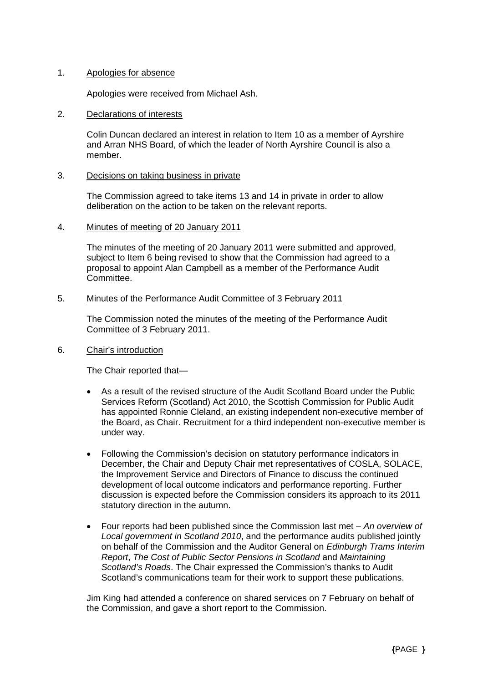## 1. Apologies for absence

Apologies were received from Michael Ash.

### 2. Declarations of interests

 Colin Duncan declared an interest in relation to Item 10 as a member of Ayrshire and Arran NHS Board, of which the leader of North Ayrshire Council is also a member.

## 3. Decisions on taking business in private

The Commission agreed to take items 13 and 14 in private in order to allow deliberation on the action to be taken on the relevant reports.

## 4. Minutes of meeting of 20 January 2011

The minutes of the meeting of 20 January 2011 were submitted and approved, subject to Item 6 being revised to show that the Commission had agreed to a proposal to appoint Alan Campbell as a member of the Performance Audit Committee.

## 5. Minutes of the Performance Audit Committee of 3 February 2011

The Commission noted the minutes of the meeting of the Performance Audit Committee of 3 February 2011.

## 6. Chair's introduction

The Chair reported that—

- As a result of the revised structure of the Audit Scotland Board under the Public Services Reform (Scotland) Act 2010, the Scottish Commission for Public Audit has appointed Ronnie Cleland, an existing independent non-executive member of the Board, as Chair. Recruitment for a third independent non-executive member is under way.
- Following the Commission's decision on statutory performance indicators in December, the Chair and Deputy Chair met representatives of COSLA, SOLACE, the Improvement Service and Directors of Finance to discuss the continued development of local outcome indicators and performance reporting. Further discussion is expected before the Commission considers its approach to its 2011 statutory direction in the autumn.
- Four reports had been published since the Commission last met *An overview of Local government in Scotland 2010*, and the performance audits published jointly on behalf of the Commission and the Auditor General on *Edinburgh Trams Interim Report*, *The Cost of Public Sector Pensions in Scotland* and *Maintaining Scotland's Roads*. The Chair expressed the Commission's thanks to Audit Scotland's communications team for their work to support these publications.

Jim King had attended a conference on shared services on 7 February on behalf of the Commission, and gave a short report to the Commission.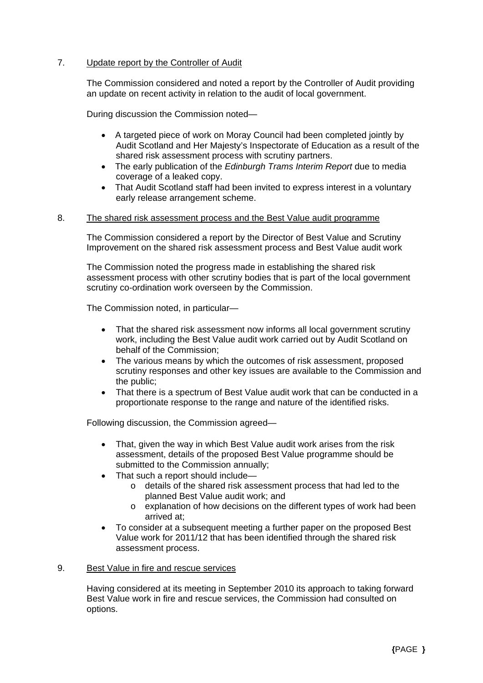# 7. Update report by the Controller of Audit

The Commission considered and noted a report by the Controller of Audit providing an update on recent activity in relation to the audit of local government.

During discussion the Commission noted—

- A targeted piece of work on Moray Council had been completed jointly by Audit Scotland and Her Majesty's Inspectorate of Education as a result of the shared risk assessment process with scrutiny partners.
- The early publication of the *Edinburgh Trams Interim Report* due to media coverage of a leaked copy.
- That Audit Scotland staff had been invited to express interest in a voluntary early release arrangement scheme.

## 8. The shared risk assessment process and the Best Value audit programme

The Commission considered a report by the Director of Best Value and Scrutiny Improvement on the shared risk assessment process and Best Value audit work

The Commission noted the progress made in establishing the shared risk assessment process with other scrutiny bodies that is part of the local government scrutiny co-ordination work overseen by the Commission.

The Commission noted, in particular—

- That the shared risk assessment now informs all local government scrutiny work, including the Best Value audit work carried out by Audit Scotland on behalf of the Commission;
- The various means by which the outcomes of risk assessment, proposed scrutiny responses and other key issues are available to the Commission and the public;
- That there is a spectrum of Best Value audit work that can be conducted in a proportionate response to the range and nature of the identified risks.

Following discussion, the Commission agreed—

- That, given the way in which Best Value audit work arises from the risk assessment, details of the proposed Best Value programme should be submitted to the Commission annually;
- That such a report should include
	- o details of the shared risk assessment process that had led to the planned Best Value audit work; and
	- o explanation of how decisions on the different types of work had been arrived at;
- To consider at a subsequent meeting a further paper on the proposed Best Value work for 2011/12 that has been identified through the shared risk assessment process.

### 9. Best Value in fire and rescue services

Having considered at its meeting in September 2010 its approach to taking forward Best Value work in fire and rescue services, the Commission had consulted on options.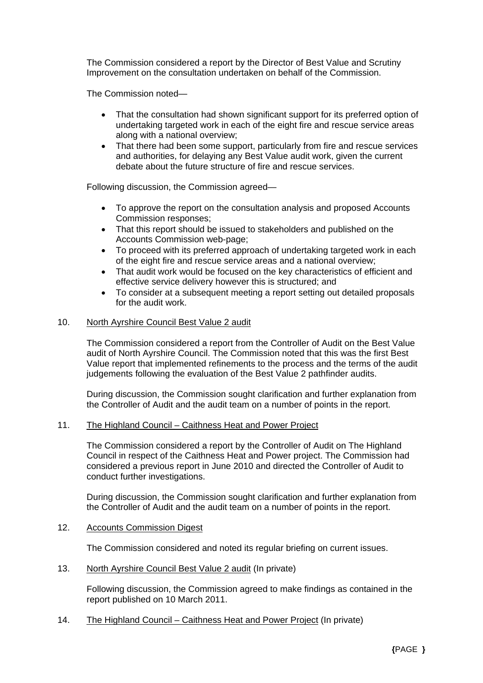The Commission considered a report by the Director of Best Value and Scrutiny Improvement on the consultation undertaken on behalf of the Commission.

The Commission noted—

- That the consultation had shown significant support for its preferred option of undertaking targeted work in each of the eight fire and rescue service areas along with a national overview;
- That there had been some support, particularly from fire and rescue services and authorities, for delaying any Best Value audit work, given the current debate about the future structure of fire and rescue services.

Following discussion, the Commission agreed—

- To approve the report on the consultation analysis and proposed Accounts Commission responses;
- That this report should be issued to stakeholders and published on the Accounts Commission web-page;
- To proceed with its preferred approach of undertaking targeted work in each of the eight fire and rescue service areas and a national overview;
- That audit work would be focused on the key characteristics of efficient and effective service delivery however this is structured; and
- To consider at a subsequent meeting a report setting out detailed proposals for the audit work.

## 10. North Ayrshire Council Best Value 2 audit

The Commission considered a report from the Controller of Audit on the Best Value audit of North Ayrshire Council. The Commission noted that this was the first Best Value report that implemented refinements to the process and the terms of the audit judgements following the evaluation of the Best Value 2 pathfinder audits.

During discussion, the Commission sought clarification and further explanation from the Controller of Audit and the audit team on a number of points in the report.

### 11. The Highland Council – Caithness Heat and Power Project

The Commission considered a report by the Controller of Audit on The Highland Council in respect of the Caithness Heat and Power project. The Commission had considered a previous report in June 2010 and directed the Controller of Audit to conduct further investigations.

During discussion, the Commission sought clarification and further explanation from the Controller of Audit and the audit team on a number of points in the report.

### 12. Accounts Commission Digest

The Commission considered and noted its regular briefing on current issues.

13. North Ayrshire Council Best Value 2 audit (In private)

Following discussion, the Commission agreed to make findings as contained in the report published on 10 March 2011.

14. The Highland Council – Caithness Heat and Power Project (In private)